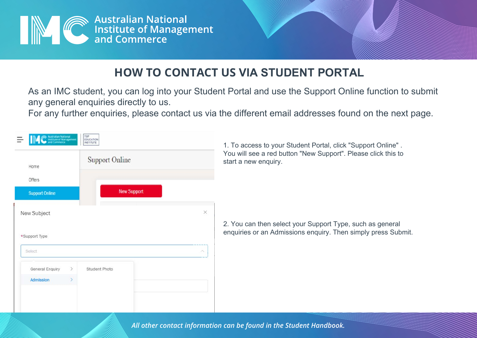

## **HOW TO CONTACT US VIA STUDENT PORTAL**

As an IMC student, you can log into your Student Portal and use the Support Online function to submit any general enquiries directly to us.

For any further enquiries, please contact us via the different email addresses found on the next page.



*All other contact information can be found in the Student Handbook.*